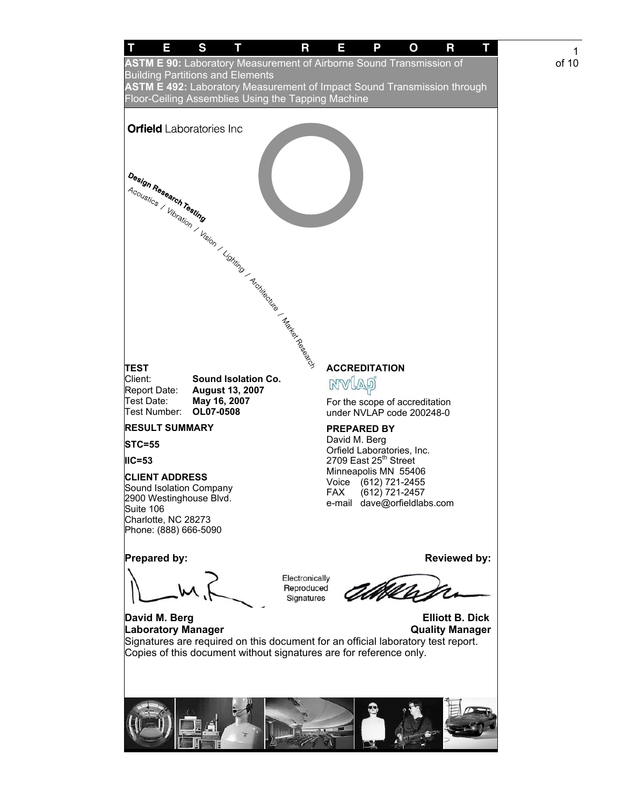

1 of 10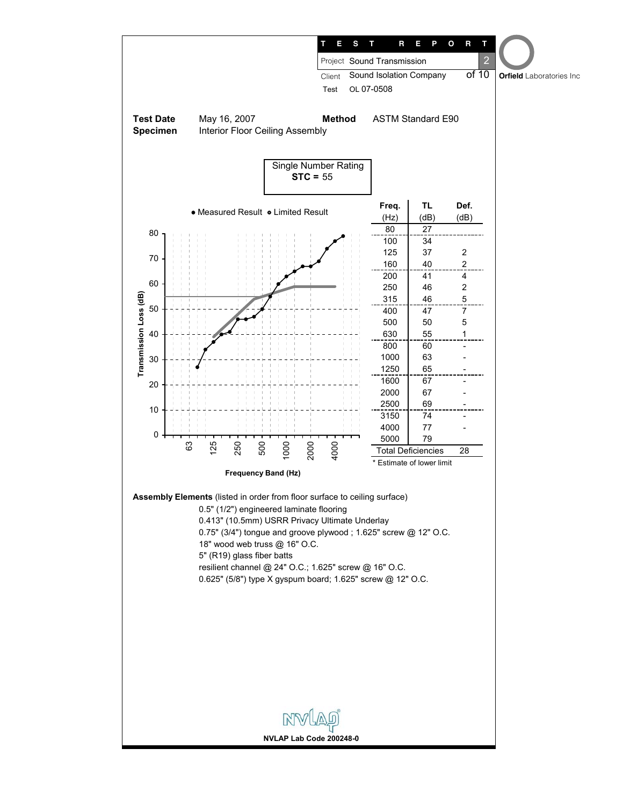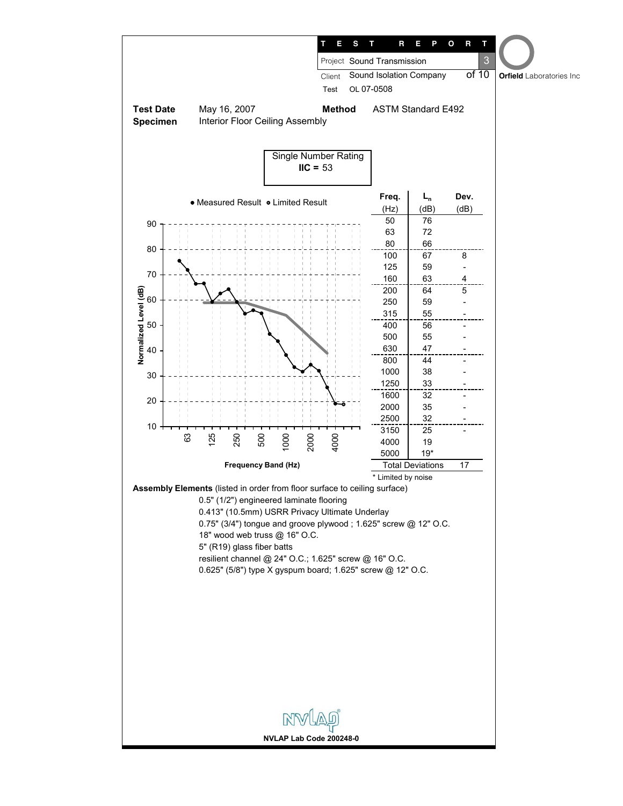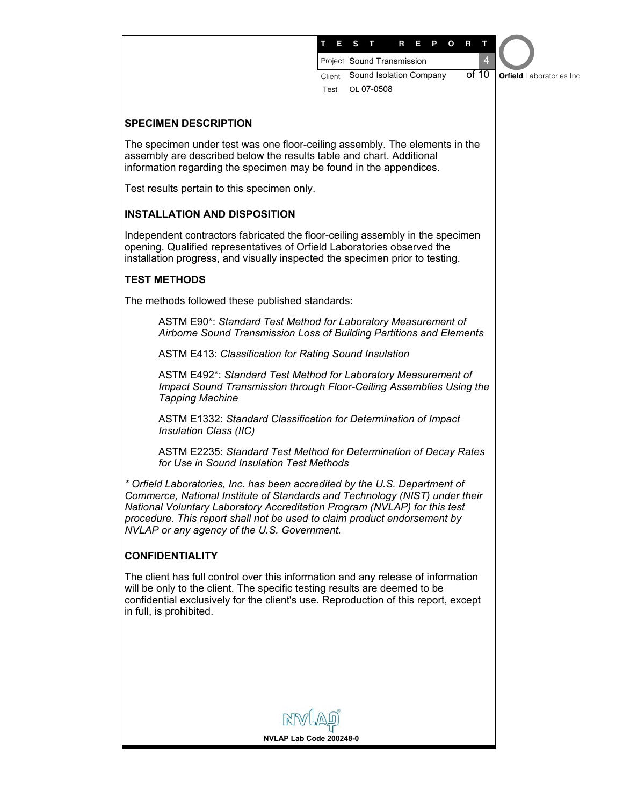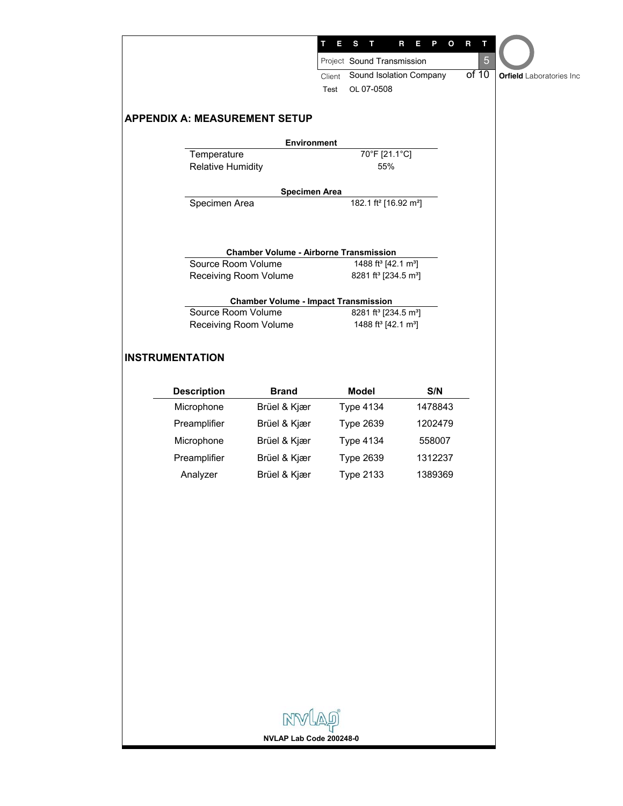|                                      |                                                                      | Е              | s<br>т                                        | R<br>$\mathbf{o}$<br>п<br>P                  | $\mathsf R$<br>т |                                 |
|--------------------------------------|----------------------------------------------------------------------|----------------|-----------------------------------------------|----------------------------------------------|------------------|---------------------------------|
|                                      |                                                                      |                | Project Sound Transmission                    |                                              | 5                |                                 |
|                                      |                                                                      | Client<br>Test | Sound Isolation Company<br>OL 07-0508         |                                              | of 10            | <b>Orfield</b> Laboratories Inc |
| <b>APPENDIX A: MEASUREMENT SETUP</b> |                                                                      |                |                                               |                                              |                  |                                 |
|                                      | <b>Environment</b>                                                   |                |                                               |                                              |                  |                                 |
| Temperature                          |                                                                      |                | 70°F [21.1°C]<br>55%                          |                                              |                  |                                 |
| <b>Relative Humidity</b>             |                                                                      |                |                                               |                                              |                  |                                 |
|                                      | <b>Specimen Area</b>                                                 |                |                                               |                                              |                  |                                 |
| Specimen Area                        |                                                                      |                | 182.1 ft <sup>2</sup> [16.92 m <sup>2</sup> ] |                                              |                  |                                 |
|                                      | <b>Chamber Volume - Airborne Transmission</b>                        |                |                                               |                                              |                  |                                 |
| Source Room Volume                   |                                                                      |                | 1488 ft <sup>3</sup> [42.1 m <sup>3</sup> ]   |                                              |                  |                                 |
|                                      | Receiving Room Volume                                                |                | 8281 ft <sup>3</sup> [234.5 m <sup>3</sup> ]  |                                              |                  |                                 |
|                                      | <b>Chamber Volume - Impact Transmission</b>                          |                |                                               |                                              |                  |                                 |
|                                      | Source Room Volume                                                   |                |                                               | 8281 ft <sup>3</sup> [234.5 m <sup>3</sup> ] |                  |                                 |
|                                      | 1488 ft <sup>3</sup> [42.1 m <sup>3</sup> ]<br>Receiving Room Volume |                |                                               |                                              |                  |                                 |
| <b>INSTRUMENTATION</b>               |                                                                      |                |                                               |                                              |                  |                                 |
| <b>Description</b>                   | <b>Brand</b>                                                         |                | <b>Model</b>                                  | S/N                                          |                  |                                 |
| Microphone                           | Brüel & Kjær                                                         |                | <b>Type 4134</b>                              | 1478843                                      |                  |                                 |
| Preamplifier                         | Brüel & Kjær                                                         |                | <b>Type 2639</b>                              | 1202479                                      |                  |                                 |
| Microphone                           | Brüel & Kjær                                                         |                | <b>Type 4134</b>                              | 558007                                       |                  |                                 |
| Preamplifier                         | Brüel & Kjær                                                         |                | <b>Type 2639</b>                              | 1312237                                      |                  |                                 |
| Analyzer                             | Brüel & Kjær                                                         |                | <b>Type 2133</b>                              | 1389369                                      |                  |                                 |
|                                      |                                                                      |                |                                               |                                              |                  |                                 |
|                                      |                                                                      |                |                                               |                                              |                  |                                 |
|                                      |                                                                      |                |                                               |                                              |                  |                                 |
|                                      |                                                                      |                |                                               |                                              |                  |                                 |
|                                      |                                                                      |                |                                               |                                              |                  |                                 |
|                                      |                                                                      |                |                                               |                                              |                  |                                 |
|                                      |                                                                      |                |                                               |                                              |                  |                                 |
|                                      |                                                                      |                |                                               |                                              |                  |                                 |
|                                      |                                                                      |                |                                               |                                              |                  |                                 |
|                                      |                                                                      |                |                                               |                                              |                  |                                 |
|                                      |                                                                      |                |                                               |                                              |                  |                                 |
|                                      |                                                                      |                |                                               |                                              |                  |                                 |
|                                      |                                                                      |                |                                               |                                              |                  |                                 |
|                                      |                                                                      |                |                                               |                                              |                  |                                 |
|                                      | NVLAP                                                                |                |                                               |                                              |                  |                                 |
|                                      |                                                                      |                |                                               |                                              |                  |                                 |
|                                      | NVLAP Lab Code 200248-0                                              |                |                                               |                                              |                  |                                 |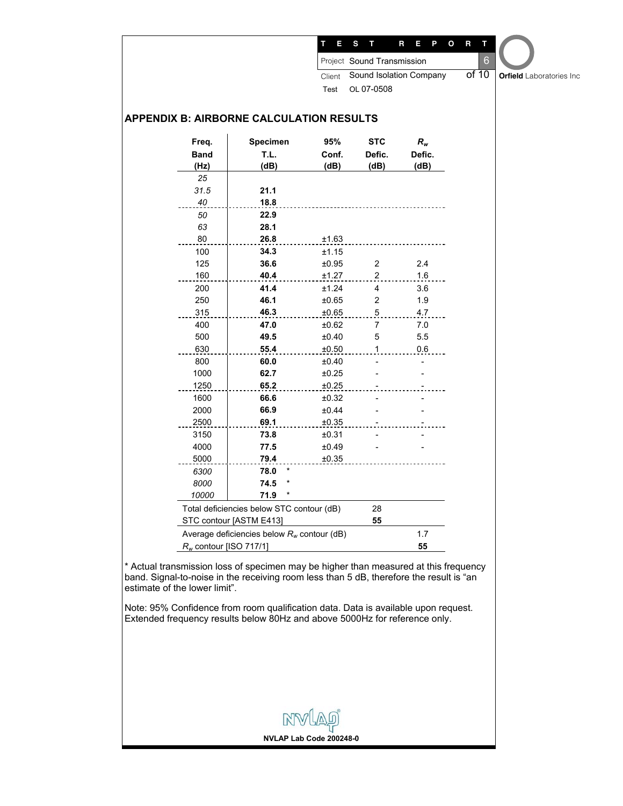|                           |                                                 |        | $6\phantom{1}6$<br>Project Sound Transmission |         |  |                                 |  |
|---------------------------|-------------------------------------------------|--------|-----------------------------------------------|---------|--|---------------------------------|--|
|                           |                                                 | Client | of 10<br>Sound Isolation Company              |         |  | <b>Orfield</b> Laboratories Inc |  |
|                           |                                                 | Test   | OL 07-0508                                    |         |  |                                 |  |
|                           | <b>APPENDIX B: AIRBORNE CALCULATION RESULTS</b> |        |                                               |         |  |                                 |  |
| Freq.                     | Specimen                                        | 95%    | <b>STC</b>                                    | $R_{w}$ |  |                                 |  |
| <b>Band</b>               | T.L.                                            | Conf.  | Defic.                                        | Defic.  |  |                                 |  |
| (Hz)                      | (dB)                                            | (dB)   | (dB)                                          | (dB)    |  |                                 |  |
| 25                        |                                                 |        |                                               |         |  |                                 |  |
| 31.5                      | 21.1                                            |        |                                               |         |  |                                 |  |
| 40                        | 18.8                                            |        |                                               |         |  |                                 |  |
| 50                        | 22.9                                            |        |                                               |         |  |                                 |  |
| 63                        | 28.1                                            |        |                                               |         |  |                                 |  |
| 80                        | 26.8                                            | ±1.63  |                                               |         |  |                                 |  |
| 100                       | 34.3                                            | ±1.15  |                                               |         |  |                                 |  |
| 125                       | 36.6                                            | ±0.95  | 2                                             | 2.4     |  |                                 |  |
| 160                       | 40.4                                            | ±1.27  | 2                                             | 1.6     |  |                                 |  |
| 200                       | 41.4                                            | ±1.24  | $\overline{4}$                                | 3.6     |  |                                 |  |
| 250                       | 46.1                                            | ±0.65  | 2                                             | 1.9     |  |                                 |  |
| 315                       | 46.3                                            | ±0.65  | 5                                             | 4.7     |  |                                 |  |
| 400                       | 47.0                                            | ±0.62  | 7                                             | 7.0     |  |                                 |  |
| 500                       | 49.5                                            | ±0.40  | 5                                             | 5.5     |  |                                 |  |
| 630                       | 55.4                                            | ±0.50  | 1                                             | 0.6     |  |                                 |  |
| 800                       | 60.0                                            | ±0.40  | $\overline{a}$                                |         |  |                                 |  |
| 1000                      | 62.7                                            | ±0.25  |                                               |         |  |                                 |  |
| 1250                      | 65.2                                            | ±0.25  |                                               |         |  |                                 |  |
| 1600                      | 66.6                                            | ±0.32  |                                               |         |  |                                 |  |
| 2000                      | 66.9                                            | ±0.44  |                                               |         |  |                                 |  |
| 2500                      | 69.1                                            | ±0.35  |                                               |         |  |                                 |  |
| 3150                      | 73.8                                            | ±0.31  |                                               |         |  |                                 |  |
| 4000                      | 77.5                                            | ±0.49  |                                               |         |  |                                 |  |
| 5000                      | 79.4                                            | ±0.35  |                                               |         |  |                                 |  |
| 6300                      | 78.0                                            |        |                                               |         |  |                                 |  |
| 8000                      | 74.5<br>*                                       |        |                                               |         |  |                                 |  |
| 10000                     | 71.9                                            |        |                                               |         |  |                                 |  |
|                           | Total deficiencies below STC contour (dB)       |        | 28                                            |         |  |                                 |  |
|                           | STC contour [ASTM E413]                         |        | 55                                            |         |  |                                 |  |
|                           | Average deficiencies below $R_w$ contour (dB)   |        |                                               | 1.7     |  |                                 |  |
| $R_w$ contour [ISO 717/1] |                                                 |        |                                               | 55      |  |                                 |  |

estimate of the lower limit". Note: 95% Confidence from room qualification data. Data is available upon request.

Extended frequency results below 80Hz and above 5000Hz for reference only.

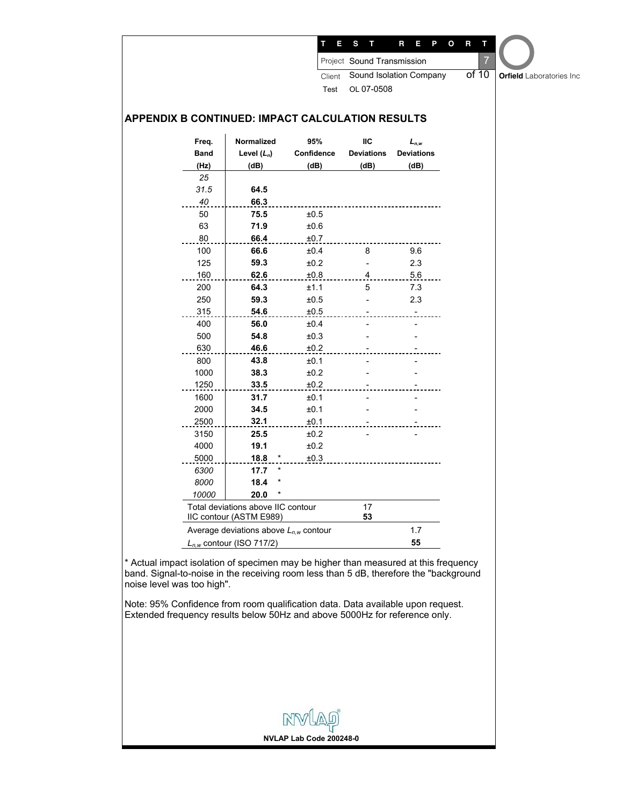|             |                                                               |                |                   | Sound Isolation Company | of 10 |                                 |
|-------------|---------------------------------------------------------------|----------------|-------------------|-------------------------|-------|---------------------------------|
|             |                                                               | Client<br>Test |                   |                         |       | <b>Orfield</b> Laboratories Inc |
|             |                                                               |                | OL 07-0508        |                         |       |                                 |
|             | APPENDIX B CONTINUED: IMPACT CALCULATION RESULTS              |                |                   |                         |       |                                 |
| Freq.       | Normalized                                                    | 95%            | IIC               | $L_{n,w}$               |       |                                 |
| <b>Band</b> | Level $(L_n)$                                                 | Confidence     | <b>Deviations</b> | <b>Deviations</b>       |       |                                 |
| (Hz)        | (dB)                                                          | (dB)           | (dB)              | (dB)                    |       |                                 |
| 25          |                                                               |                |                   |                         |       |                                 |
| 31.5        | 64.5                                                          |                |                   |                         |       |                                 |
| 40          | 66.3                                                          |                |                   |                         |       |                                 |
| 50<br>63    | 75.5                                                          | ±0.5           |                   |                         |       |                                 |
| 80          | 71.9<br>66.4                                                  | ±0.6<br>±0.7   |                   |                         |       |                                 |
| 100         | 66.6                                                          | ±0.4           | 8                 | 9.6                     |       |                                 |
| 125         | 59.3                                                          | ±0.2           |                   | 2.3                     |       |                                 |
| 160         | 62.6                                                          | ±0.8           | 4                 | 5.6                     |       |                                 |
| 200         | 64.3                                                          | ±1.1           | 5                 | 7.3                     |       |                                 |
| 250         | 59.3                                                          | ±0.5           |                   | 2.3                     |       |                                 |
| 315         | 54.6                                                          | $\pm 0.5$      |                   |                         |       |                                 |
| 400         | 56.0                                                          | ±0.4           |                   |                         |       |                                 |
| 500         | 54.8                                                          | ±0.3           |                   |                         |       |                                 |
| 630         | 46.6                                                          | ±0.2           |                   |                         |       |                                 |
| 800         | 43.8                                                          | ±0.1           |                   |                         |       |                                 |
| 1000        | 38.3                                                          | ±0.2           |                   |                         |       |                                 |
| 1250        | 33.5                                                          | ±0.2           |                   |                         |       |                                 |
| 1600        | 31.7                                                          | ±0.1           |                   |                         |       |                                 |
| 2000        | 34.5                                                          | ±0.1           |                   |                         |       |                                 |
| 2500        | 32.1                                                          | ±0.1           |                   |                         |       |                                 |
| 3150        | 25.5                                                          | ±0.2           |                   |                         |       |                                 |
| 4000        | 19.1                                                          | ±0.2           |                   |                         |       |                                 |
| 5000        | 18.8<br>$\cdot$                                               | ±0.3           |                   |                         |       |                                 |
| 6300        | 17.7                                                          |                |                   |                         |       |                                 |
| 8000        | 18.4                                                          |                |                   |                         |       |                                 |
| 10000       | 20.0                                                          |                |                   |                         |       |                                 |
|             | Total deviations above IIC contour<br>IIC contour (ASTM E989) |                | 17<br>53          |                         |       |                                 |
|             | Average deviations above $L_{n,w}$ contour                    |                |                   | 1.7                     |       |                                 |
|             | $L_{n,w}$ contour (ISO 717/2)                                 |                |                   | 55                      |       |                                 |

Actual impact isolation of specimen may be higher than measured at this frequency band. Signal-to-noise in the receiving room less than 5 dB, therefore the "background noise level was too high".

**NVLAP Lab Code 200248-0**

NW

Note: 95% Confidence from room qualification data. Data available upon request. Extended frequency results below 50Hz and above 5000Hz for reference only.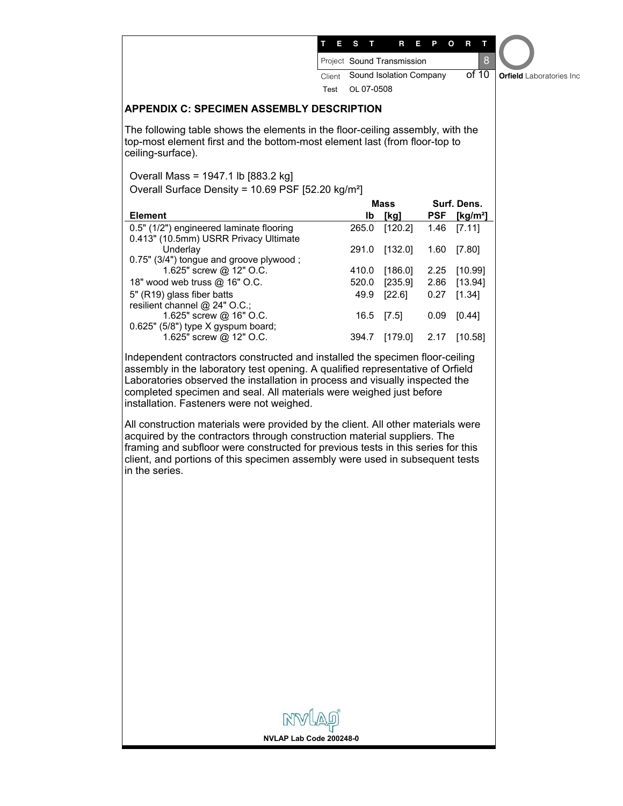| Ξ<br>s<br>т<br>R<br>P<br>Ο<br>R<br>8<br>Project Sound Transmission<br>of 10<br>Sound Isolation Company<br>Client<br>OL 07-0508<br>Test<br><b>APPENDIX C: SPECIMEN ASSEMBLY DESCRIPTION</b><br>The following table shows the elements in the floor-ceiling assembly, with the<br>top-most element first and the bottom-most element last (from floor-top to<br>ceiling-surface).<br>Overall Mass = 1947.1 lb [883.2 kg]<br>Overall Surface Density = 10.69 PSF [52.20 kg/m <sup>2</sup> ]<br>Surf. Dens.<br>Mass<br><b>Element</b><br>lb<br>[kg]<br><b>PSF</b><br>[ $kg/m2$ ]<br>0.5" (1/2") engineered laminate flooring<br>265.0<br>[120.2]<br>1.46<br>[7.11]<br>0.413" (10.5mm) USRR Privacy Ultimate<br>Underlay<br>291.0<br>$[132.0]$<br>1.60<br>[7.80]<br>0.75" (3/4") tongue and groove plywood;<br>1.625" screw @ 12" O.C.<br>[186.0]<br>2.25<br>410.0<br>[10.99]<br>18" wood web truss @ 16" O.C.<br>[235.9]<br>2.86<br>[13.94]<br>520.0<br>5" (R19) glass fiber batts<br>[22.6]<br>[1.34]<br>49.9<br>0.27<br>resilient channel @ 24" O.C.;<br>1.625" screw @ 16" O.C.<br>16.5<br>[7.5]<br>0.09<br>[0.44]<br>0.625" (5/8") type X gyspum board;<br>1.625" screw @ 12" O.C.<br>394.7<br>[179.0]<br>2.17<br>[10.58]<br>Independent contractors constructed and installed the specimen floor-ceiling<br>assembly in the laboratory test opening. A qualified representative of Orfield<br>Laboratories observed the installation in process and visually inspected the<br>completed specimen and seal. All materials were weighed just before<br>installation. Fasteners were not weighed.<br>All construction materials were provided by the client. All other materials were<br>acquired by the contractors through construction material suppliers. The<br>framing and subfloor were constructed for previous tests in this series for this<br>client, and portions of this specimen assembly were used in subsequent tests<br>in the series.<br>NVLAP Lab Code 200248-0 |  |  |  |                                 |
|----------------------------------------------------------------------------------------------------------------------------------------------------------------------------------------------------------------------------------------------------------------------------------------------------------------------------------------------------------------------------------------------------------------------------------------------------------------------------------------------------------------------------------------------------------------------------------------------------------------------------------------------------------------------------------------------------------------------------------------------------------------------------------------------------------------------------------------------------------------------------------------------------------------------------------------------------------------------------------------------------------------------------------------------------------------------------------------------------------------------------------------------------------------------------------------------------------------------------------------------------------------------------------------------------------------------------------------------------------------------------------------------------------------------------------------------------------------------------------------------------------------------------------------------------------------------------------------------------------------------------------------------------------------------------------------------------------------------------------------------------------------------------------------------------------------------------------------------------------------------------------------------------------------------------------------------------------------------------------|--|--|--|---------------------------------|
|                                                                                                                                                                                                                                                                                                                                                                                                                                                                                                                                                                                                                                                                                                                                                                                                                                                                                                                                                                                                                                                                                                                                                                                                                                                                                                                                                                                                                                                                                                                                                                                                                                                                                                                                                                                                                                                                                                                                                                                  |  |  |  |                                 |
|                                                                                                                                                                                                                                                                                                                                                                                                                                                                                                                                                                                                                                                                                                                                                                                                                                                                                                                                                                                                                                                                                                                                                                                                                                                                                                                                                                                                                                                                                                                                                                                                                                                                                                                                                                                                                                                                                                                                                                                  |  |  |  |                                 |
|                                                                                                                                                                                                                                                                                                                                                                                                                                                                                                                                                                                                                                                                                                                                                                                                                                                                                                                                                                                                                                                                                                                                                                                                                                                                                                                                                                                                                                                                                                                                                                                                                                                                                                                                                                                                                                                                                                                                                                                  |  |  |  | <b>Orfield</b> Laboratories Inc |
|                                                                                                                                                                                                                                                                                                                                                                                                                                                                                                                                                                                                                                                                                                                                                                                                                                                                                                                                                                                                                                                                                                                                                                                                                                                                                                                                                                                                                                                                                                                                                                                                                                                                                                                                                                                                                                                                                                                                                                                  |  |  |  |                                 |
|                                                                                                                                                                                                                                                                                                                                                                                                                                                                                                                                                                                                                                                                                                                                                                                                                                                                                                                                                                                                                                                                                                                                                                                                                                                                                                                                                                                                                                                                                                                                                                                                                                                                                                                                                                                                                                                                                                                                                                                  |  |  |  |                                 |
|                                                                                                                                                                                                                                                                                                                                                                                                                                                                                                                                                                                                                                                                                                                                                                                                                                                                                                                                                                                                                                                                                                                                                                                                                                                                                                                                                                                                                                                                                                                                                                                                                                                                                                                                                                                                                                                                                                                                                                                  |  |  |  |                                 |
|                                                                                                                                                                                                                                                                                                                                                                                                                                                                                                                                                                                                                                                                                                                                                                                                                                                                                                                                                                                                                                                                                                                                                                                                                                                                                                                                                                                                                                                                                                                                                                                                                                                                                                                                                                                                                                                                                                                                                                                  |  |  |  |                                 |
|                                                                                                                                                                                                                                                                                                                                                                                                                                                                                                                                                                                                                                                                                                                                                                                                                                                                                                                                                                                                                                                                                                                                                                                                                                                                                                                                                                                                                                                                                                                                                                                                                                                                                                                                                                                                                                                                                                                                                                                  |  |  |  |                                 |
|                                                                                                                                                                                                                                                                                                                                                                                                                                                                                                                                                                                                                                                                                                                                                                                                                                                                                                                                                                                                                                                                                                                                                                                                                                                                                                                                                                                                                                                                                                                                                                                                                                                                                                                                                                                                                                                                                                                                                                                  |  |  |  |                                 |
|                                                                                                                                                                                                                                                                                                                                                                                                                                                                                                                                                                                                                                                                                                                                                                                                                                                                                                                                                                                                                                                                                                                                                                                                                                                                                                                                                                                                                                                                                                                                                                                                                                                                                                                                                                                                                                                                                                                                                                                  |  |  |  |                                 |
|                                                                                                                                                                                                                                                                                                                                                                                                                                                                                                                                                                                                                                                                                                                                                                                                                                                                                                                                                                                                                                                                                                                                                                                                                                                                                                                                                                                                                                                                                                                                                                                                                                                                                                                                                                                                                                                                                                                                                                                  |  |  |  |                                 |
|                                                                                                                                                                                                                                                                                                                                                                                                                                                                                                                                                                                                                                                                                                                                                                                                                                                                                                                                                                                                                                                                                                                                                                                                                                                                                                                                                                                                                                                                                                                                                                                                                                                                                                                                                                                                                                                                                                                                                                                  |  |  |  |                                 |
|                                                                                                                                                                                                                                                                                                                                                                                                                                                                                                                                                                                                                                                                                                                                                                                                                                                                                                                                                                                                                                                                                                                                                                                                                                                                                                                                                                                                                                                                                                                                                                                                                                                                                                                                                                                                                                                                                                                                                                                  |  |  |  |                                 |
|                                                                                                                                                                                                                                                                                                                                                                                                                                                                                                                                                                                                                                                                                                                                                                                                                                                                                                                                                                                                                                                                                                                                                                                                                                                                                                                                                                                                                                                                                                                                                                                                                                                                                                                                                                                                                                                                                                                                                                                  |  |  |  |                                 |
|                                                                                                                                                                                                                                                                                                                                                                                                                                                                                                                                                                                                                                                                                                                                                                                                                                                                                                                                                                                                                                                                                                                                                                                                                                                                                                                                                                                                                                                                                                                                                                                                                                                                                                                                                                                                                                                                                                                                                                                  |  |  |  |                                 |
|                                                                                                                                                                                                                                                                                                                                                                                                                                                                                                                                                                                                                                                                                                                                                                                                                                                                                                                                                                                                                                                                                                                                                                                                                                                                                                                                                                                                                                                                                                                                                                                                                                                                                                                                                                                                                                                                                                                                                                                  |  |  |  |                                 |
|                                                                                                                                                                                                                                                                                                                                                                                                                                                                                                                                                                                                                                                                                                                                                                                                                                                                                                                                                                                                                                                                                                                                                                                                                                                                                                                                                                                                                                                                                                                                                                                                                                                                                                                                                                                                                                                                                                                                                                                  |  |  |  |                                 |
|                                                                                                                                                                                                                                                                                                                                                                                                                                                                                                                                                                                                                                                                                                                                                                                                                                                                                                                                                                                                                                                                                                                                                                                                                                                                                                                                                                                                                                                                                                                                                                                                                                                                                                                                                                                                                                                                                                                                                                                  |  |  |  |                                 |
|                                                                                                                                                                                                                                                                                                                                                                                                                                                                                                                                                                                                                                                                                                                                                                                                                                                                                                                                                                                                                                                                                                                                                                                                                                                                                                                                                                                                                                                                                                                                                                                                                                                                                                                                                                                                                                                                                                                                                                                  |  |  |  |                                 |
|                                                                                                                                                                                                                                                                                                                                                                                                                                                                                                                                                                                                                                                                                                                                                                                                                                                                                                                                                                                                                                                                                                                                                                                                                                                                                                                                                                                                                                                                                                                                                                                                                                                                                                                                                                                                                                                                                                                                                                                  |  |  |  |                                 |
|                                                                                                                                                                                                                                                                                                                                                                                                                                                                                                                                                                                                                                                                                                                                                                                                                                                                                                                                                                                                                                                                                                                                                                                                                                                                                                                                                                                                                                                                                                                                                                                                                                                                                                                                                                                                                                                                                                                                                                                  |  |  |  |                                 |
|                                                                                                                                                                                                                                                                                                                                                                                                                                                                                                                                                                                                                                                                                                                                                                                                                                                                                                                                                                                                                                                                                                                                                                                                                                                                                                                                                                                                                                                                                                                                                                                                                                                                                                                                                                                                                                                                                                                                                                                  |  |  |  |                                 |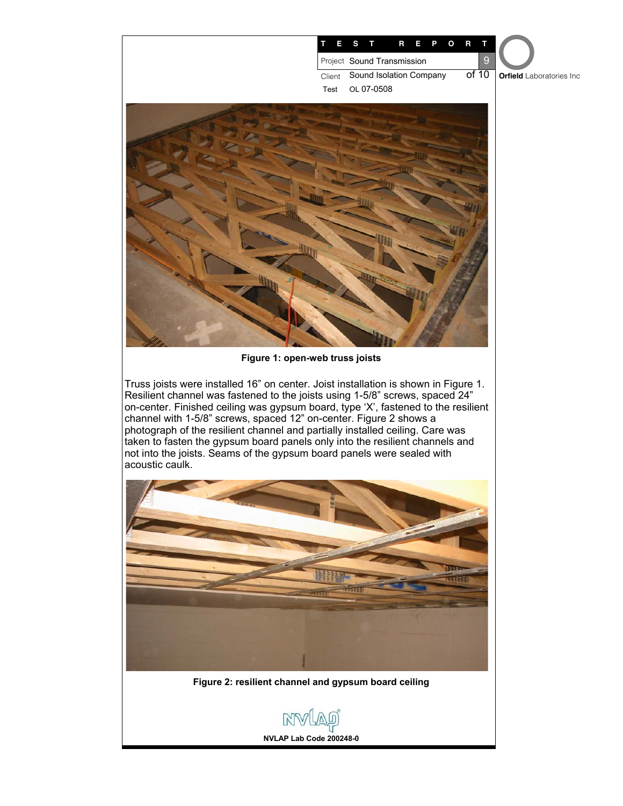



**Figure 2: resilient channel and gypsum board ceiling** 



**NVLAP Lab Code 200248-0**